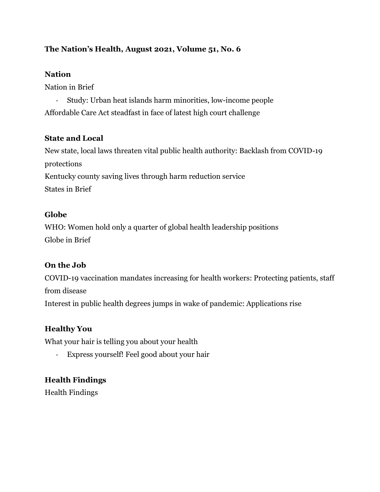## **The Nation's Health, August 2021, Volume 51, No. 6**

#### **Nation**

Nation in Brief

- Study: Urban heat islands harm minorities, low-income people Affordable Care Act steadfast in face of latest high court challenge

## **State and Local**

New state, local laws threaten vital public health authority: Backlash from COVID-19 protections Kentucky county saving lives through harm reduction service States in Brief

## **Globe**

WHO: Women hold only a quarter of global health leadership positions Globe in Brief

## **On the Job**

COVID-19 vaccination mandates increasing for health workers: Protecting patients, staff from disease Interest in public health degrees jumps in wake of pandemic: Applications rise

## **Healthy You**

What your hair is telling you about your health

- Express yourself! Feel good about your hair

# **Health Findings**

Health Findings